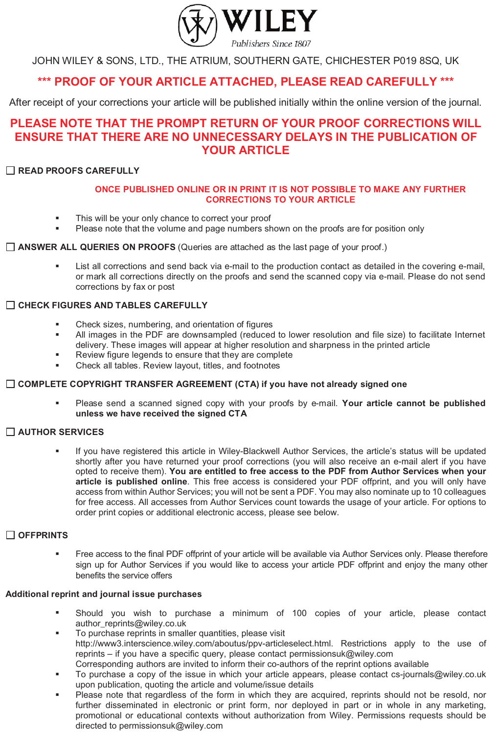

JOHN WILEY & SONS, LTD., THE ATRIUM, SOUTHERN GATE, CHICHESTER P019 8SQ, UK

## **\*\*\* PROOF OF YOUR ARTICLE ATTACHED, PLEASE READ CAREFULLY \*\*\***

After receipt of your corrections your article will be published initially within the online version of the journal.

#### **PLEASE NOTE THAT THE PROMPT RETURN OF YOUR PROOF CORRECTIONS WILL ENSURE THAT THERE ARE NO UNNECESSARY DELAYS IN THE PUBLICATION OF YOUR ARTICLE**

#### **READ PROOFS CAREFULLY**

#### **ONCE PUBLISHED ONLINE OR IN PRINT IT IS NOT POSSIBLE TO MAKE ANY FURTHER CORRECTIONS TO YOUR ARTICLE**

- This will be your only chance to correct your proof
- Please note that the volume and page numbers shown on the proofs are for position only

#### **ANSWER ALL QUERIES ON PROOFS** (Queries are attached as the last page of your proof.)

List all corrections and send back via e-mail to the production contact as detailed in the covering e-mail, or mark all corrections directly on the proofs and send the scanned copy via e-mail. Please do not send corrections by fax or post

#### **CHECK FIGURES AND TABLES CAREFULLY**

- <sup>ß</sup> Check sizes, numbering, and orientation of figures
- <sup>ß</sup> All images in the PDF are downsampled (reduced to lower resolution and file size) to facilitate Internet delivery. These images will appear at higher resolution and sharpness in the printed article
- Review figure legends to ensure that they are complete
- <sup>ß</sup> Check all tables. Review layout, titles, and footnotes

#### **COMPLETE COPYRIGHT TRANSFER AGREEMENT (CTA) if you have not already signed one**

**Please send a scanned signed copy with your proofs by e-mail. Your article cannot be published unless we have received the signed CTA**

#### **AUTHOR SERVICES**

order print copies or additional electronic access, please see below. If you have registered this article in Wiley-Blackwell Author Services, the article's status will be updated shortly after you have returned your proof corrections (you will also receive an e-mail alert if you have opted to receive them). **You are entitled to free access to the PDF from Author Services when your article is published online**. This free access is considered your PDF offprint, and you will only have access from within Author Services; you will not be sent a PDF. You may also nominate up to 10 colleagues for free access. All accesses from Author Services count towards the usage of your article. For options to

#### **OFFPRINTS**

ßsign up for Author Services if you would like to access your article PDF offprint and enjoy the many other benefits the service offers Free access to the final PDF offprint of your article will be available via Author Services only. Please therefore

#### **Additional reprint and journal issue purchases**

- Should you wish to purchase a minimum of 100 copies of your article, please contact author\_reprints@wiley.co.uk
- To purchase reprints in smaller quantities, please visit http://www3.interscience.wiley.com/aboutus/ppv-articleselect.html. Restrictions apply to the use of reprints – if you have a specific query, please contact permissionsuk@wiley.com Corresponding authors are invited to inform their co-authors of the reprint options available
- To purchase a copy of the issue in which your article appears, please contact cs-journals@wiley.co.uk upon publication, quoting the article and volume/issue details
- Please note that regardless of the form in which they are acquired, reprints should not be resold, nor further disseminated in electronic or print form, nor deployed in part or in whole in any marketing, promotional or educational contexts without authorization from Wiley. Permissions requests should be directed to permissionsuk@wiley.com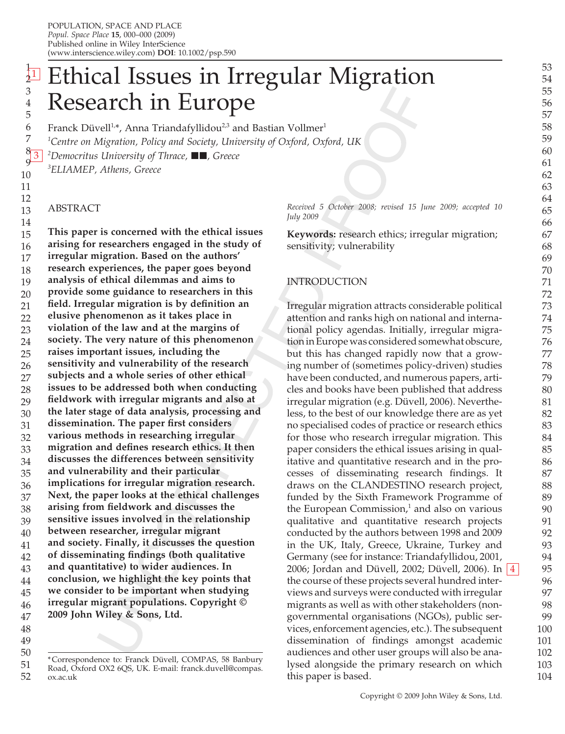## Ethical Issues in Irregular Migration Research in Europe

Franck Düvell<sup>1,\*</sup>, Anna Triandafyllidou<sup>2,3</sup> and Bastian Vollmer<sup>1</sup> *1 Centre on Migration, Policy and Society, University of Oxford, Oxford, UK 2 Democritus University of Thrace,* jj*, Greece*

*3 ELIAMEP, Athens, Greece*

#### ABSTRACT

14 15 16 17 18 19 20 21 22 23 24 25 26 27 28 29 30 31 32 33 34 35 36 37 38 39 40 41 42 43 44 45 46 47 **This paper is concerned with the ethical issues arising for researchers engaged in the study of irregular migration. Based on the authors' research experiences, the paper goes beyond analysis of ethical dilemmas and aims to provide some guidance to researchers in this field. Irregular migration is by definition an elusive phenomenon as it takes place in violation of the law and at the margins of society. The very nature of this phenomenon raises important issues, including the sensitivity and vulnerability of the research subjects and a whole series of other ethical issues to be addressed both when conducting fieldwork with irregular migrants and also at the later stage of data analysis, processing and dissemination. The paper first considers various methods in researching irregular migration and defines research ethics. It then discusses the differences between sensitivity and vulnerability and their particular implications for irregular migration research. Next, the paper looks at the ethical challenges arising from fieldwork and discusses the sensitive issues involved in the relationship between researcher, irregular migrant and society. Finally, it discusses the question of disseminating findings (both qualitative and quantitative) to wider audiences. In conclusion, we highlight the key points that we consider to be important when studying irregular migrant populations. Copyright © 2009 John Wiley & Sons, Ltd.**

48

49

*Received 5 October 2008; revised 15 June 2009; accepted 10 July 2009*

**Keywords:** research ethics; irregular migration; sensitivity; vulnerability

## INTRODUCTION

Irregular migration attracts considerable political attention and ranks high on national and international policy agendas. Initially, irregular migration in Europe was considered somewhat obscure, but this has changed rapidly now that a growing number of (sometimes policy-driven) studies have been conducted, and numerous papers, articles and books have been published that address irregular migration (e.g. Düvell, 2006). Nevertheless, to the best of our knowledge there are as yet no specialised codes of practice or research ethics for those who research irregular migration. This paper considers the ethical issues arising in qualitative and quantitative research and in the processes of disseminating research findings. It draws on the CLANDESTINO research project, funded by the Sixth Framework Programme of the European Commission, $<sup>1</sup>$  and also on various</sup> qualitative and quantitative research projects conducted by the authors between 1998 and 2009 in the UK, Italy, Greece, Ukraine, Turkey and Germany (see for instance: Triandafyllidou, 2001, 2006; Jordan and Düvell, 2002; Düvell, 2006). In 4the course of these projects several hundred interviews and surveys were conducted with irregular migrants as well as with other stakeholders (nongovernmental organisations (NGOs), public services, enforcement agencies, etc.). The subsequent dissemination of findings amongst academic audiences and other user groups will also be analysed alongside the primary research on which this paper is based.

<sup>50</sup> 51 52 \*Correspondence to: Franck Düvell, COMPAS, 58 Banbury Road, Oxford OX2 6QS, UK. E-mail: franck.duvell@compas. ox.ac.uk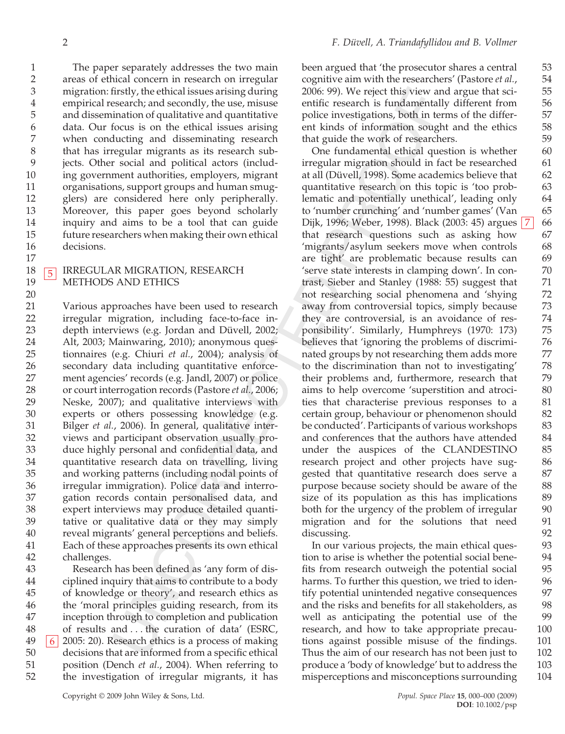1 2 3 4 5 6 7 8 9 10 11 12 13 14 15 16 17 The paper separately addresses the two main areas of ethical concern in research on irregular migration: firstly, the ethical issues arising during empirical research; and secondly, the use, misuse and dissemination of qualitative and quantitative data. Our focus is on the ethical issues arising when conducting and disseminating research that has irregular migrants as its research subjects. Other social and political actors (including government authorities, employers, migrant organisations, support groups and human smugglers) are considered here only peripherally. Moreover, this paper goes beyond scholarly inquiry and aims to be a tool that can guide future researchers when making their own ethical decisions.

#### 18 19 IRREGULAR MIGRATION, RESEARCH METHODS AND ETHICS 5

21 22 23 24 25 26 27 28 29 30 31 32 33 34 35 36 37 38 39 40 41 42 Various approaches have been used to research irregular migration, including face-to-face indepth interviews (e.g. Jordan and Düvell, 2002; Alt, 2003; Mainwaring, 2010); anonymous questionnaires (e.g. Chiuri *et al.*, 2004); analysis of secondary data including quantitative enforcement agencies' records (e.g. Jandl, 2007) or police or court interrogation records (Pastore *et al.*, 2006; Neske, 2007); and qualitative interviews with experts or others possessing knowledge (e.g. Bilger *et al.*, 2006). In general, qualitative interviews and participant observation usually produce highly personal and confidential data, and quantitative research data on travelling, living and working patterns (including nodal points of irregular immigration). Police data and interrogation records contain personalised data, and expert interviews may produce detailed quantitative or qualitative data or they may simply reveal migrants' general perceptions and beliefs. Each of these approaches presents its own ethical challenges.

43 44 45 46 47 48 49 50 51 52 Research has been defined as 'any form of disciplined inquiry that aims to contribute to a body of knowledge or theory', and research ethics as the 'moral principles guiding research, from its inception through to completion and publication of results and . . . the curation of data' (ESRC,  $6 \mid 2005$ : 20). Research ethics is a process of making decisions that are informed from a specific ethical position (Dench *et al.*, 2004). When referring to the investigation of irregular migrants, it has

been argued that 'the prosecutor shares a central cognitive aim with the researchers' (Pastore *et al.*, 2006: 99). We reject this view and argue that scientific research is fundamentally different from police investigations, both in terms of the different kinds of information sought and the ethics that guide the work of researchers.

One fundamental ethical question is whether irregular migration should in fact be researched at all (Düvell, 1998). Some academics believe that quantitative research on this topic is 'too problematic and potentially unethical', leading only to 'number crunching' and 'number games' (Van Dijk, 1996; Weber, 1998). Black (2003: 45) argues <mark>| 7</mark> that research questions such as asking how 'migrants/asylum seekers move when controls are tight' are problematic because results can 'serve state interests in clamping down'. In contrast, Sieber and Stanley (1988: 55) suggest that not researching social phenomena and 'shying away from controversial topics, simply because they are controversial, is an avoidance of responsibility'. Similarly, Humphreys (1970: 173) believes that 'ignoring the problems of discriminated groups by not researching them adds more to the discrimination than not to investigating' their problems and, furthermore, research that aims to help overcome 'superstition and atrocities that characterise previous responses to a certain group, behaviour or phenomenon should be conducted'. Participants of various workshops and conferences that the authors have attended under the auspices of the CLANDESTINO research project and other projects have suggested that quantitative research does serve a purpose because society should be aware of the size of its population as this has implications both for the urgency of the problem of irregular migration and for the solutions that need discussing.

103 104 In our various projects, the main ethical question to arise is whether the potential social benefits from research outweigh the potential social harms. To further this question, we tried to identify potential unintended negative consequences and the risks and benefits for all stakeholders, as well as anticipating the potential use of the research, and how to take appropriate precautions against possible misuse of the findings. Thus the aim of our research has not been just to produce a 'body of knowledge' but to address the misperceptions and misconceptions surrounding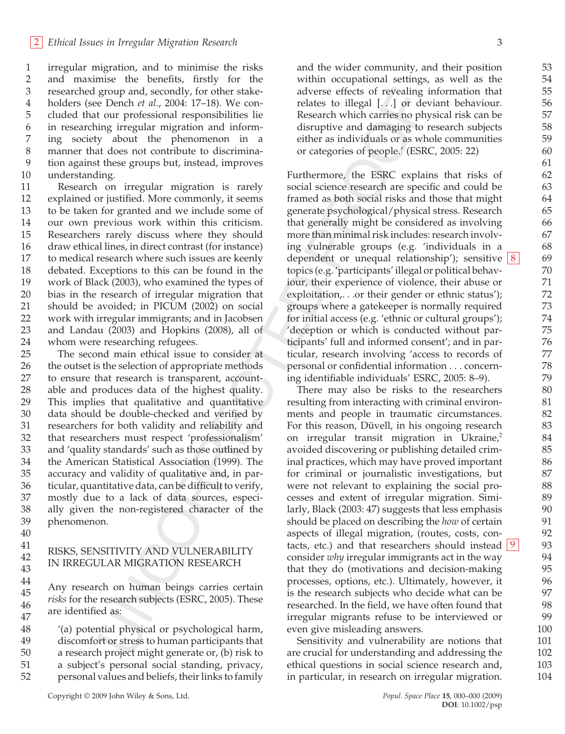1 2 3 4 5 6 7 8 9 10 irregular migration, and to minimise the risks and maximise the benefits, firstly for the researched group and, secondly, for other stakeholders (see Dench *et al.*, 2004: 17–18). We concluded that our professional responsibilities lie in researching irregular migration and informing society about the phenomenon in a manner that does not contribute to discrimination against these groups but, instead, improves understanding.

11 12 13 14 15 16 17 18 19 20 21 22 23 24 Research on irregular migration is rarely explained or justified. More commonly, it seems to be taken for granted and we include some of our own previous work within this criticism. Researchers rarely discuss where they should draw ethical lines, in direct contrast (for instance) to medical research where such issues are keenly debated. Exceptions to this can be found in the work of Black (2003), who examined the types of bias in the research of irregular migration that should be avoided; in PICUM (2002) on social work with irregular immigrants; and in Jacobsen and Landau (2003) and Hopkins (2008), all of whom were researching refugees.

25 26 27 28 29 30 31 32 33 34 35 36 37 38 39 The second main ethical issue to consider at the outset is the selection of appropriate methods to ensure that research is transparent, accountable and produces data of the highest quality. This implies that qualitative and quantitative data should be double-checked and verified by researchers for both validity and reliability and that researchers must respect 'professionalism' and 'quality standards' such as those outlined by the American Statistical Association (1999). The accuracy and validity of qualitative and, in particular, quantitative data, can be difficult to verify, mostly due to a lack of data sources, especially given the non-registered character of the phenomenon.

#### 41 42 43 RISKS, SENSITIVITY AND VULNERABILITY IN IRREGULAR MIGRATION RESEARCH

40

Any research on human beings carries certain *risks* for the research subjects (ESRC, 2005). These are identified as:

48 49 50 51 52 '(a) potential physical or psychological harm, discomfort or stress to human participants that a research project might generate or, (b) risk to a subject's personal social standing, privacy, personal values and beliefs, their links to family

and the wider community, and their position within occupational settings, as well as the adverse effects of revealing information that relates to illegal  $[...]$  or deviant behaviour. Research which carries no physical risk can be disruptive and damaging to research subjects either as individuals or as whole communities or categories of people.' (ESRC, 2005: 22)

Furthermore, the ESRC explains that risks of social science research are specific and could be framed as both social risks and those that might generate psychological/physical stress. Research that generally might be considered as involving more than minimal risk includes: research involving vulnerable groups (e.g. 'individuals in a dependent or unequal relationship'); sensitive <mark>8</mark> topics (e.g. 'participants' illegal or political behaviour, their experience of violence, their abuse or exploitation,. . .or their gender or ethnic status'); groups where a gatekeeper is normally required for initial access (e.g. 'ethnic or cultural groups'); 'deception or which is conducted without participants' full and informed consent'; and in particular, research involving 'access to records of personal or confidential information . . . concerning identifiable individuals' ESRC, 2005: 8–9).

There may also be risks to the researchers resulting from interacting with criminal environments and people in traumatic circumstances. For this reason, Düvell, in his ongoing research on irregular transit migration in Ukraine,<sup>2</sup> avoided discovering or publishing detailed criminal practices, which may have proved important for criminal or journalistic investigations, but were not relevant to explaining the social processes and extent of irregular migration. Similarly, Black (2003: 47) suggests that less emphasis should be placed on describing the *how* of certain aspects of illegal migration, (routes, costs, contacts, etc.) and that researchers should instead <mark>9</mark> consider *why* irregular immigrants act in the way that they do (motivations and decision-making processes, options, etc.). Ultimately, however, it is the research subjects who decide what can be researched. In the field, we have often found that irregular migrants refuse to be interviewed or even give misleading answers.

Sensitivity and vulnerability are notions that are crucial for understanding and addressing the ethical questions in social science research and, in particular, in research on irregular migration.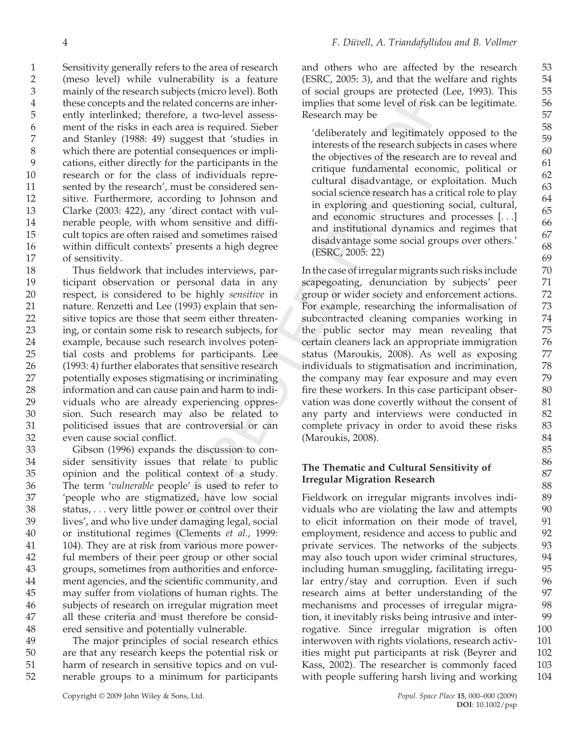1 2 3 4 5 6 7 8 9 10 11 12 13 14 15 16 17 Sensitivity generally refers to the area of research (meso level) while vulnerability is a feature mainly of the research subjects (micro level). Both these concepts and the related concerns are inherently interlinked; therefore, a two-level assessment of the risks in each area is required. Sieber and Stanley (1988: 49) suggest that 'studies in which there are potential consequences or implications, either directly for the participants in the research or for the class of individuals represented by the research', must be considered sensitive. Furthermore, according to Johnson and Clarke (2003: 422), any 'direct contact with vulnerable people, with whom sensitive and difficult topics are often raised and sometimes raised within difficult contexts' presents a high degree of sensitivity.

18 19 20 21 22 23 24 25 26 27 28 29 30 31 32 Thus fieldwork that includes interviews, participant observation or personal data in any respect, is considered to be highly *sensitive* in nature. Renzetti and Lee (1993) explain that sensitive topics are those that seem either threatening, or contain some risk to research subjects, for example, because such research involves potential costs and problems for participants. Lee (1993: 4) further elaborates that sensitive research potentially exposes stigmatising or incriminating information and can cause pain and harm to individuals who are already experiencing oppression. Such research may also be related to politicised issues that are controversial or can even cause social conflict.

33 34 35 36 37 38 39 40 41 42 43 44 45 46 47 48 Gibson (1996) expands the discussion to consider sensitivity issues that relate to public opinion and the political context of a study. The term '*vulnerable* people' is used to refer to 'people who are stigmatized, have low social status, . . . very little power or control over their lives', and who live under damaging legal, social or institutional regimes (Clements *et al.*, 1999: 104). They are at risk from various more powerful members of their peer group or other social groups, sometimes from authorities and enforcement agencies, and the scientific community, and may suffer from violations of human rights. The subjects of research on irregular migration meet all these criteria and must therefore be considered sensitive and potentially vulnerable.

49 50 51 52 The major principles of social research ethics are that any research keeps the potential risk or harm of research in sensitive topics and on vulnerable groups to a minimum for participants

and others who are affected by the research (ESRC, 2005: 3), and that the welfare and rights of social groups are protected (Lee, 1993). This implies that some level of risk can be legitimate. Research may be

'deliberately and legitimately opposed to the interests of the research subjects in cases where the objectives of the research are to reveal and critique fundamental economic, political or cultural disadvantage, or exploitation. Much social science research has a critical role to play in exploring and questioning social, cultural, and economic structures and processes [. . .] and institutional dynamics and regimes that disadvantage some social groups over others.' (ESRC, 2005: 22)

In the case of irregular migrants such risks include scapegoating, denunciation by subjects' peer group or wider society and enforcement actions. For example, researching the informalisation of subcontracted cleaning companies working in the public sector may mean revealing that certain cleaners lack an appropriate immigration status (Maroukis, 2008). As well as exposing individuals to stigmatisation and incrimination, the company may fear exposure and may even fire these workers. In this case participant observation was done covertly without the consent of any party and interviews were conducted in complete privacy in order to avoid these risks (Maroukis, 2008).

#### **The Thematic and Cultural Sensitivity of Irregular Migration Research**

102 103 104 Fieldwork on irregular migrants involves individuals who are violating the law and attempts to elicit information on their mode of travel, employment, residence and access to public and private services. The networks of the subjects may also touch upon wider criminal structures, including human smuggling, facilitating irregular entry/stay and corruption. Even if such research aims at better understanding of the mechanisms and processes of irregular migration, it inevitably risks being intrusive and interrogative. Since irregular migration is often interwoven with rights violations, research activities might put participants at risk (Beyrer and Kass, 2002). The researcher is commonly faced with people suffering harsh living and working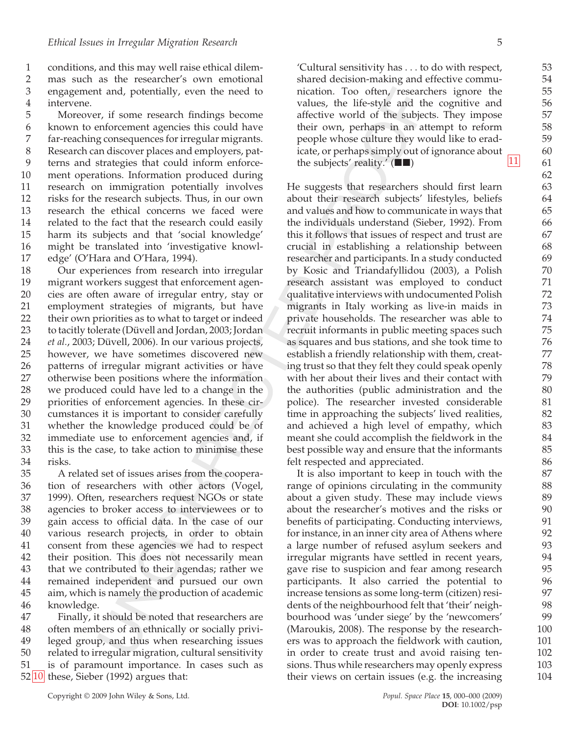1 2 3 4 conditions, and this may well raise ethical dilemmas such as the researcher's own emotional engagement and, potentially, even the need to intervene.

5 6 7 8 9 10 11 12 13 14 15 16 17 Moreover, if some research findings become known to enforcement agencies this could have far-reaching consequences for irregular migrants. Research can discover places and employers, patterns and strategies that could inform enforcement operations. Information produced during research on immigration potentially involves risks for the research subjects. Thus, in our own research the ethical concerns we faced were related to the fact that the research could easily harm its subjects and that 'social knowledge' might be translated into 'investigative knowledge' (O'Hara and O'Hara, 1994).

18 19 20 21 22 23 24 25 26 27 28 29 30 31 32 33 34 Our experiences from research into irregular migrant workers suggest that enforcement agencies are often aware of irregular entry, stay or employment strategies of migrants, but have their own priorities as to what to target or indeed to tacitly tolerate (Düvell and Jordan, 2003; Jordan *et al.*, 2003; Düvell, 2006). In our various projects, however, we have sometimes discovered new patterns of irregular migrant activities or have otherwise been positions where the information we produced could have led to a change in the priorities of enforcement agencies. In these circumstances it is important to consider carefully whether the knowledge produced could be of immediate use to enforcement agencies and, if this is the case, to take action to minimise these risks.

35 36 37 38 39 40 41 42 43 44 45 46 A related set of issues arises from the cooperation of researchers with other actors (Vogel, 1999). Often, researchers request NGOs or state agencies to broker access to interviewees or to gain access to official data. In the case of our various research projects, in order to obtain consent from these agencies we had to respect their position. This does not necessarily mean that we contributed to their agendas; rather we remained independent and pursued our own aim, which is namely the production of academic knowledge.

47 48 49 50 51 52 10Finally, it should be noted that researchers are often members of an ethnically or socially privileged group, and thus when researching issues related to irregular migration, cultural sensitivity is of paramount importance. In cases such as these, Sieber (1992) argues that:

'Cultural sensitivity has . . . to do with respect, shared decision-making and effective communication. Too often, researchers ignore the values, the life-style and the cognitive and affective world of the subjects. They impose their own, perhaps in an attempt to reform people whose culture they would like to eradicate, or perhaps simply out of ignorance about the subjects' reality.'  $(\blacksquare \blacksquare)$  $|11|$ 

He suggests that researchers should first learn about their research subjects' lifestyles, beliefs and values and how to communicate in ways that the individuals understand (Sieber, 1992). From this it follows that issues of respect and trust are crucial in establishing a relationship between researcher and participants. In a study conducted by Kosic and Triandafyllidou (2003), a Polish research assistant was employed to conduct qualitative interviews with undocumented Polish migrants in Italy working as live-in maids in private households. The researcher was able to recruit informants in public meeting spaces such as squares and bus stations, and she took time to establish a friendly relationship with them, creating trust so that they felt they could speak openly with her about their lives and their contact with the authorities (public administration and the police). The researcher invested considerable time in approaching the subjects' lived realities, and achieved a high level of empathy, which meant she could accomplish the fieldwork in the best possible way and ensure that the informants felt respected and appreciated.

It is also important to keep in touch with the range of opinions circulating in the community about a given study. These may include views about the researcher's motives and the risks or benefits of participating. Conducting interviews, for instance, in an inner city area of Athens where a large number of refused asylum seekers and irregular migrants have settled in recent years, gave rise to suspicion and fear among research participants. It also carried the potential to increase tensions as some long-term (citizen) residents of the neighbourhood felt that 'their' neighbourhood was 'under siege' by the 'newcomers' (Maroukis, 2008). The response by the researchers was to approach the fieldwork with caution, in order to create trust and avoid raising tensions. Thus while researchers may openly express their views on certain issues (e.g. the increasing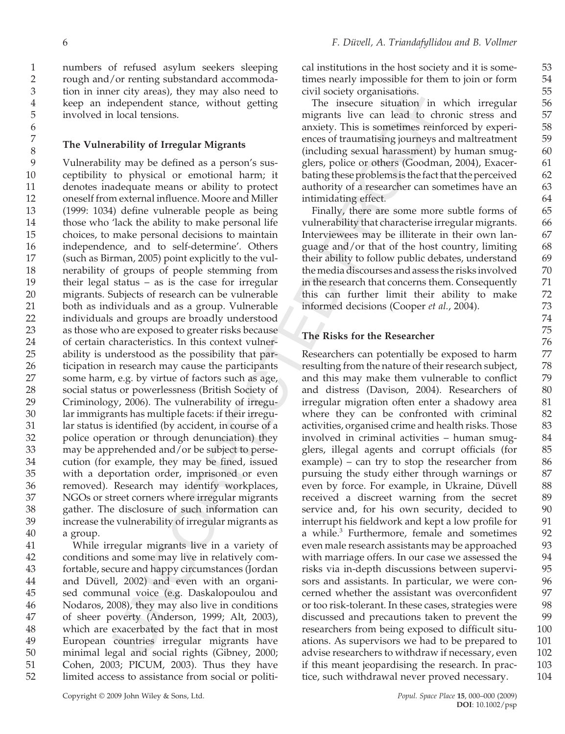numbers of refused asylum seekers sleeping rough and/or renting substandard accommodation in inner city areas), they may also need to keep an independent stance, without getting involved in local tensions.

#### **The Vulnerability of Irregular Migrants**

9 10 11 12 13 14 15 16 17 18 19 20 21 22 23 24 25 26 27 28 29 30 31 32 33 34 35 36 37 38 39 40 Vulnerability may be defined as a person's susceptibility to physical or emotional harm; it denotes inadequate means or ability to protect oneself from external influence. Moore and Miller (1999: 1034) define vulnerable people as being those who 'lack the ability to make personal life choices, to make personal decisions to maintain independence, and to self-determine'. Others (such as Birman, 2005) point explicitly to the vulnerability of groups of people stemming from their legal status – as is the case for irregular migrants. Subjects of research can be vulnerable both as individuals and as a group. Vulnerable individuals and groups are broadly understood as those who are exposed to greater risks because of certain characteristics. In this context vulnerability is understood as the possibility that participation in research may cause the participants some harm, e.g. by virtue of factors such as age, social status or powerlessness (British Society of Criminology, 2006). The vulnerability of irregular immigrants has multiple facets: if their irregular status is identified (by accident, in course of a police operation or through denunciation) they may be apprehended and/or be subject to persecution (for example, they may be fined, issued with a deportation order, imprisoned or even removed). Research may identify workplaces, NGOs or street corners where irregular migrants gather. The disclosure of such information can increase the vulnerability of irregular migrants as a group.

41 42 43 44 45 46 47 48 49 50 51 52 While irregular migrants live in a variety of conditions and some may live in relatively comfortable, secure and happy circumstances (Jordan and Düvell, 2002) and even with an organised communal voice (e.g. Daskalopoulou and Nodaros, 2008), they may also live in conditions of sheer poverty (Anderson, 1999; Alt, 2003), which are exacerbated by the fact that in most European countries irregular migrants have minimal legal and social rights (Gibney, 2000; Cohen, 2003; PICUM, 2003). Thus they have limited access to assistance from social or political institutions in the host society and it is sometimes nearly impossible for them to join or form civil society organisations.

The insecure situation in which irregular migrants live can lead to chronic stress and anxiety. This is sometimes reinforced by experiences of traumatising journeys and maltreatment (including sexual harassment) by human smugglers, police or others (Goodman, 2004), Exacerbating these problems is the fact that the perceived authority of a researcher can sometimes have an intimidating effect.

Finally, there are some more subtle forms of vulnerability that characterise irregular migrants. Interviewees may be illiterate in their own language and/or that of the host country, limiting their ability to follow public debates, understand the media discourses and assess the risks involved in the research that concerns them. Consequently this can further limit their ability to make informed decisions (Cooper *et al.*, 2004).

## **The Risks for the Researcher**

76 77 78 79 80 81 82 83 84 85 86 87 88 89 90 91 92 93 94 95 96 97 98 99 100 101 102 103 104 Researchers can potentially be exposed to harm resulting from the nature of their research subject, and this may make them vulnerable to conflict and distress (Davison, 2004). Researchers of irregular migration often enter a shadowy area where they can be confronted with criminal activities, organised crime and health risks. Those involved in criminal activities – human smugglers, illegal agents and corrupt officials (for example) – can try to stop the researcher from pursuing the study either through warnings or even by force. For example, in Ukraine, Düvell received a discreet warning from the secret service and, for his own security, decided to interrupt his fieldwork and kept a low profile for a while.<sup>3</sup> Furthermore, female and sometimes even male research assistants may be approached with marriage offers. In our case we assessed the risks via in-depth discussions between supervisors and assistants. In particular, we were concerned whether the assistant was overconfident or too risk-tolerant. In these cases, strategies were discussed and precautions taken to prevent the researchers from being exposed to difficult situations. As supervisors we had to be prepared to advise researchers to withdraw if necessary, even if this meant jeopardising the research. In practice, such withdrawal never proved necessary.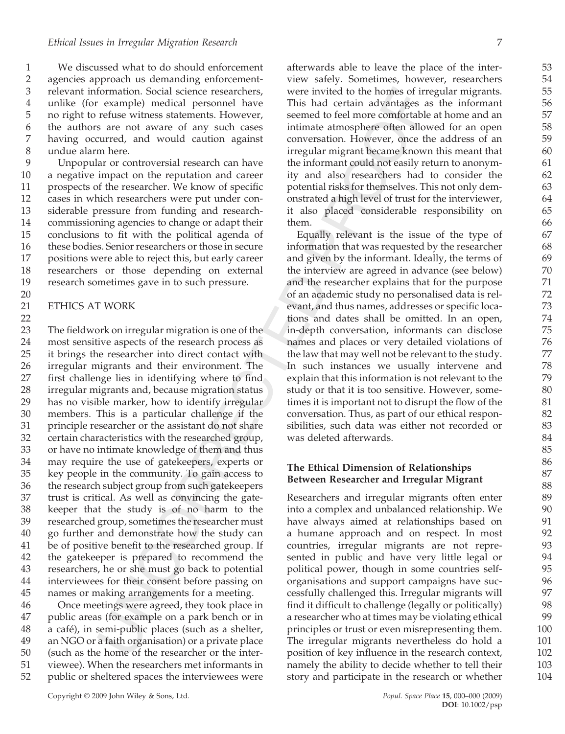1 2 3 4 5 6 7 8 We discussed what to do should enforcement agencies approach us demanding enforcementrelevant information. Social science researchers, unlike (for example) medical personnel have no right to refuse witness statements. However, the authors are not aware of any such cases having occurred, and would caution against undue alarm here.

9 10 11 12 13 14 15 16 17 18 19 20 Unpopular or controversial research can have a negative impact on the reputation and career prospects of the researcher. We know of specific cases in which researchers were put under considerable pressure from funding and researchcommissioning agencies to change or adapt their conclusions to fit with the political agenda of these bodies. Senior researchers or those in secure positions were able to reject this, but early career researchers or those depending on external research sometimes gave in to such pressure.

#### 21 ETHICS AT WORK

22

23 24 25 26 27 28 29 30 31 32 33 34 35 36 37 38 39 40 41 42 43 44 45 The fieldwork on irregular migration is one of the most sensitive aspects of the research process as it brings the researcher into direct contact with irregular migrants and their environment. The first challenge lies in identifying where to find irregular migrants and, because migration status has no visible marker, how to identify irregular members. This is a particular challenge if the principle researcher or the assistant do not share certain characteristics with the researched group, or have no intimate knowledge of them and thus may require the use of gatekeepers, experts or key people in the community. To gain access to the research subject group from such gatekeepers trust is critical. As well as convincing the gatekeeper that the study is of no harm to the researched group, sometimes the researcher must go further and demonstrate how the study can be of positive benefit to the researched group. If the gatekeeper is prepared to recommend the researchers, he or she must go back to potential interviewees for their consent before passing on names or making arrangements for a meeting.

46 47 48 49 50 51 52 Once meetings were agreed, they took place in public areas (for example on a park bench or in a café), in semi-public places (such as a shelter, an NGO or a faith organisation) or a private place (such as the home of the researcher or the interviewee). When the researchers met informants in public or sheltered spaces the interviewees were

afterwards able to leave the place of the interview safely. Sometimes, however, researchers were invited to the homes of irregular migrants. This had certain advantages as the informant seemed to feel more comfortable at home and an intimate atmosphere often allowed for an open conversation. However, once the address of an irregular migrant became known this meant that the informant could not easily return to anonymity and also researchers had to consider the potential risks for themselves. This not only demonstrated a high level of trust for the interviewer, it also placed considerable responsibility on them.

Equally relevant is the issue of the type of information that was requested by the researcher and given by the informant. Ideally, the terms of the interview are agreed in advance (see below) and the researcher explains that for the purpose of an academic study no personalised data is relevant, and thus names, addresses or specific locations and dates shall be omitted. In an open, in-depth conversation, informants can disclose names and places or very detailed violations of the law that may well not be relevant to the study. In such instances we usually intervene and explain that this information is not relevant to the study or that it is too sensitive. However, sometimes it is important not to disrupt the flow of the conversation. Thus, as part of our ethical responsibilities, such data was either not recorded or was deleted afterwards.

#### **The Ethical Dimension of Relationships Between Researcher and Irregular Migrant**

Researchers and irregular migrants often enter into a complex and unbalanced relationship. We have always aimed at relationships based on a humane approach and on respect. In most countries, irregular migrants are not represented in public and have very little legal or political power, though in some countries selforganisations and support campaigns have successfully challenged this. Irregular migrants will find it difficult to challenge (legally or politically) a researcher who at times may be violating ethical principles or trust or even misrepresenting them. The irregular migrants nevertheless do hold a position of key influence in the research context, namely the ability to decide whether to tell their story and participate in the research or whether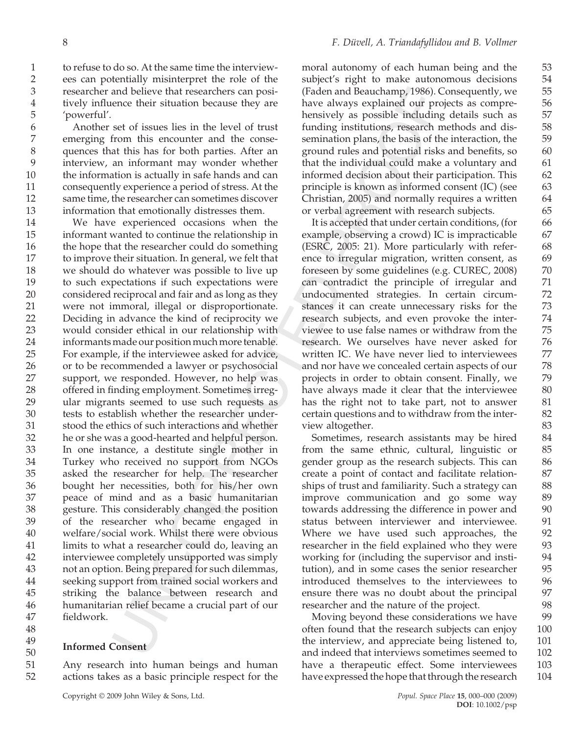to refuse to do so. At the same time the interviewees can potentially misinterpret the role of the researcher and believe that researchers can positively influence their situation because they are 'powerful'.

6 7 8 9 10 11 12 13 Another set of issues lies in the level of trust emerging from this encounter and the consequences that this has for both parties. After an interview, an informant may wonder whether the information is actually in safe hands and can consequently experience a period of stress. At the same time, the researcher can sometimes discover information that emotionally distresses them.

14 15 16 17 18 19 20 21 22 23 24 25 26 27 28 29 30 31 32 33 34 35 36 37 38 39 40 41 42 43 44 45 46 47 We have experienced occasions when the informant wanted to continue the relationship in the hope that the researcher could do something to improve their situation. In general, we felt that we should do whatever was possible to live up to such expectations if such expectations were considered reciprocal and fair and as long as they were not immoral, illegal or disproportionate. Deciding in advance the kind of reciprocity we would consider ethical in our relationship with informants made our position much more tenable. For example, if the interviewee asked for advice, or to be recommended a lawyer or psychosocial support, we responded. However, no help was offered in finding employment. Sometimes irregular migrants seemed to use such requests as tests to establish whether the researcher understood the ethics of such interactions and whether he or she was a good-hearted and helpful person. In one instance, a destitute single mother in Turkey who received no support from NGOs asked the researcher for help. The researcher bought her necessities, both for his/her own peace of mind and as a basic humanitarian gesture. This considerably changed the position of the researcher who became engaged in welfare/social work. Whilst there were obvious limits to what a researcher could do, leaving an interviewee completely unsupported was simply not an option. Being prepared for such dilemmas, seeking support from trained social workers and striking the balance between research and humanitarian relief became a crucial part of our fieldwork.

#### 48

49 50

## **Informed Consent**

51 52 Any research into human beings and human actions takes as a basic principle respect for the

moral autonomy of each human being and the subject's right to make autonomous decisions (Faden and Beauchamp, 1986). Consequently, we have always explained our projects as comprehensively as possible including details such as funding institutions, research methods and dissemination plans, the basis of the interaction, the ground rules and potential risks and benefits, so that the individual could make a voluntary and informed decision about their participation. This principle is known as informed consent (IC) (see Christian, 2005) and normally requires a written or verbal agreement with research subjects.

It is accepted that under certain conditions, (for example, observing a crowd) IC is impracticable (ESRC, 2005: 21). More particularly with reference to irregular migration, written consent, as foreseen by some guidelines (e.g. CUREC, 2008) can contradict the principle of irregular and undocumented strategies. In certain circumstances it can create unnecessary risks for the research subjects, and even provoke the interviewee to use false names or withdraw from the research. We ourselves have never asked for written IC. We have never lied to interviewees and nor have we concealed certain aspects of our projects in order to obtain consent. Finally, we have always made it clear that the interviewee has the right not to take part, not to answer certain questions and to withdraw from the interview altogether.

Sometimes, research assistants may be hired from the same ethnic, cultural, linguistic or gender group as the research subjects. This can create a point of contact and facilitate relationships of trust and familiarity. Such a strategy can improve communication and go some way towards addressing the difference in power and status between interviewer and interviewee. Where we have used such approaches, the researcher in the field explained who they were working for (including the supervisor and institution), and in some cases the senior researcher introduced themselves to the interviewees to ensure there was no doubt about the principal researcher and the nature of the project.

99 100 101 102 103 104 Moving beyond these considerations we have often found that the research subjects can enjoy the interview, and appreciate being listened to, and indeed that interviews sometimes seemed to have a therapeutic effect. Some interviewees have expressed the hope that through the research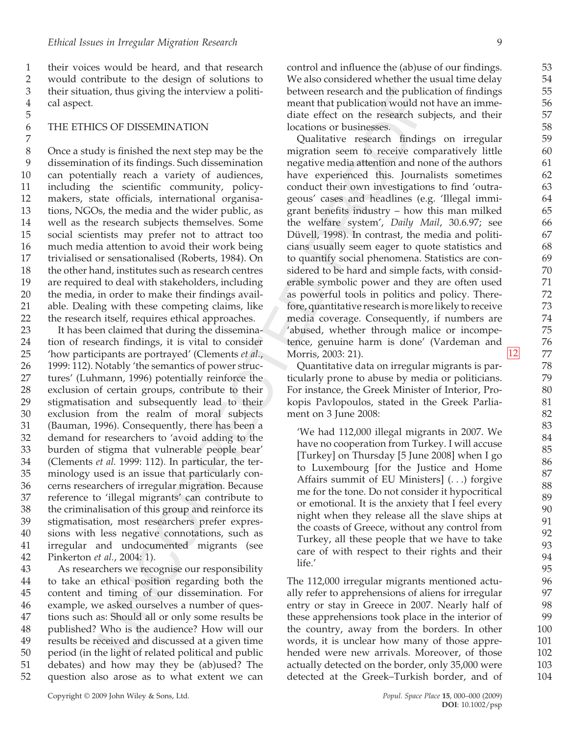their voices would be heard, and that research would contribute to the design of solutions to their situation, thus giving the interview a political aspect.

#### THE ETHICS OF DISSEMINATION

8 9 10 11 12 13 14 15 16 17 18 19 20 21 22 Once a study is finished the next step may be the dissemination of its findings. Such dissemination can potentially reach a variety of audiences, including the scientific community, policymakers, state officials, international organisations, NGOs, the media and the wider public, as well as the research subjects themselves. Some social scientists may prefer not to attract too much media attention to avoid their work being trivialised or sensationalised (Roberts, 1984). On the other hand, institutes such as research centres are required to deal with stakeholders, including the media, in order to make their findings available. Dealing with these competing claims, like the research itself, requires ethical approaches.

23 24 25 26 27 28 29 30 31 32 33 34 35 36 37 38 39 40 41 42 It has been claimed that during the dissemination of research findings, it is vital to consider 'how participants are portrayed' (Clements *et al.*, 1999: 112). Notably 'the semantics of power structures' (Luhmann, 1996) potentially reinforce the exclusion of certain groups, contribute to their stigmatisation and subsequently lead to their exclusion from the realm of moral subjects (Bauman, 1996). Consequently, there has been a demand for researchers to 'avoid adding to the burden of stigma that vulnerable people bear' (Clements *et al.* 1999: 112). In particular, the terminology used is an issue that particularly concerns researchers of irregular migration. Because reference to 'illegal migrants' can contribute to the criminalisation of this group and reinforce its stigmatisation, most researchers prefer expressions with less negative connotations, such as irregular and undocumented migrants (see Pinkerton *et al.*, 2004: 1).

43 44 45 46 47 48 49 50 51 52 As researchers we recognise our responsibility to take an ethical position regarding both the content and timing of our dissemination. For example, we asked ourselves a number of questions such as: Should all or only some results be published? Who is the audience? How will our results be received and discussed at a given time period (in the light of related political and public debates) and how may they be (ab)used? The question also arose as to what extent we can

control and influence the (ab)use of our findings. We also considered whether the usual time delay between research and the publication of findings meant that publication would not have an immediate effect on the research subjects, and their locations or businesses.

Qualitative research findings on irregular migration seem to receive comparatively little negative media attention and none of the authors have experienced this. Journalists sometimes conduct their own investigations to find 'outrageous' cases and headlines (e.g. 'Illegal immigrant benefits industry – how this man milked the welfare system', *Daily Mail*, 30.6.97; see Düvell, 1998). In contrast, the media and politicians usually seem eager to quote statistics and to quantify social phenomena. Statistics are considered to be hard and simple facts, with considerable symbolic power and they are often used as powerful tools in politics and policy. Therefore, quantitative research is more likely to receive media coverage. Consequently, if numbers are 'abused, whether through malice or incompetence, genuine harm is done' (Vardeman and Morris, 2003: 21). 12

Quantitative data on irregular migrants is particularly prone to abuse by media or politicians. For instance, the Greek Minister of Interior, Prokopis Pavlopoulos, stated in the Greek Parliament on 3 June 2008:

'We had 112,000 illegal migrants in 2007. We have no cooperation from Turkey. I will accuse [Turkey] on Thursday [5 June 2008] when I go to Luxembourg [for the Justice and Home Affairs summit of EU Ministers] (. . .) forgive me for the tone. Do not consider it hypocritical or emotional. It is the anxiety that I feel every night when they release all the slave ships at the coasts of Greece, without any control from Turkey, all these people that we have to take care of with respect to their rights and their life.'

The 112,000 irregular migrants mentioned actually refer to apprehensions of aliens for irregular entry or stay in Greece in 2007. Nearly half of these apprehensions took place in the interior of the country, away from the borders. In other words, it is unclear how many of those apprehended were new arrivals. Moreover, of those actually detected on the border, only 35,000 were detected at the Greek–Turkish border, and of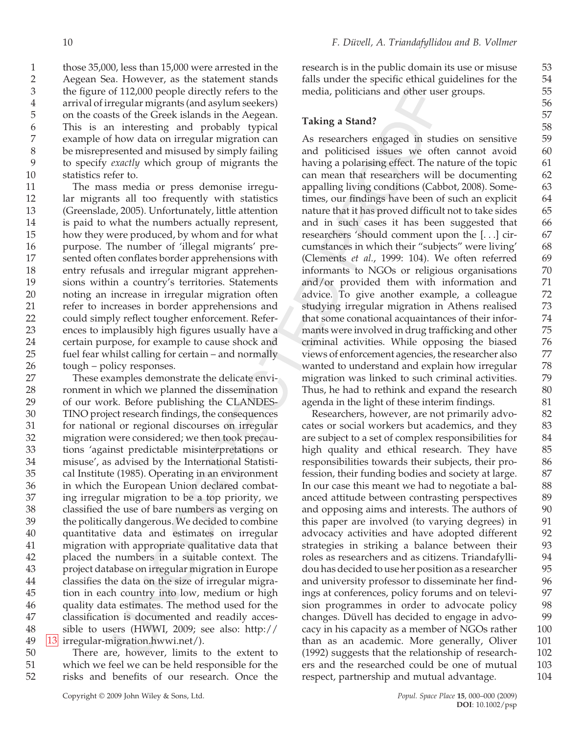10 *F. Düvell, A. Triandafyllidou and B. Vollmer*

1 2 3 4 5 6 7 8 9 10 those 35,000, less than 15,000 were arrested in the Aegean Sea. However, as the statement stands the figure of 112,000 people directly refers to the arrival of irregular migrants (and asylum seekers) on the coasts of the Greek islands in the Aegean. This is an interesting and probably typical example of how data on irregular migration can be misrepresented and misused by simply failing to specify *exactly* which group of migrants the statistics refer to.

11 12 13 14 15 16 17 18 19 20 21 22 23 24 25 26 The mass media or press demonise irregular migrants all too frequently with statistics (Greenslade, 2005). Unfortunately, little attention is paid to what the numbers actually represent, how they were produced, by whom and for what purpose. The number of 'illegal migrants' presented often conflates border apprehensions with entry refusals and irregular migrant apprehensions within a country's territories. Statements noting an increase in irregular migration often refer to increases in border apprehensions and could simply reflect tougher enforcement. References to implausibly high figures usually have a certain purpose, for example to cause shock and fuel fear whilst calling for certain – and normally tough – policy responses.

27 28 29 30 31 32 33 34 35 36 37 38 39 40 41 42 43 44 45 46 47 48 49 These examples demonstrate the delicate environment in which we planned the dissemination of our work. Before publishing the CLANDES-TINO project research findings, the consequences for national or regional discourses on irregular migration were considered; we then took precautions 'against predictable misinterpretations or misuse', as advised by the International Statistical Institute (1985). Operating in an environment in which the European Union declared combating irregular migration to be a top priority, we classified the use of bare numbers as verging on the politically dangerous. We decided to combine quantitative data and estimates on irregular migration with appropriate qualitative data that placed the numbers in a suitable context. The project database on irregular migration in Europe classifies the data on the size of irregular migration in each country into low, medium or high quality data estimates. The method used for the classification is documented and readily accessible to users (HWWI, 2009; see also: http:// 13 irregular-migration.hwwi.net/).

There are, however, limits to the extent to which we feel we can be held responsible for the risks and benefits of our research. Once the research is in the public domain its use or misuse falls under the specific ethical guidelines for the media, politicians and other user groups.

#### **Taking a Stand?**

As researchers engaged in studies on sensitive and politicised issues we often cannot avoid having a polarising effect. The nature of the topic can mean that researchers will be documenting appalling living conditions (Cabbot, 2008). Sometimes, our findings have been of such an explicit nature that it has proved difficult not to take sides and in such cases it has been suggested that researchers 'should comment upon the [. . .] circumstances in which their "subjects" were living' (Clements *et al.*, 1999: 104). We often referred informants to NGOs or religious organisations and/or provided them with information and advice. To give another example, a colleague studying irregular migration in Athens realised that some conational acquaintances of their informants were involved in drug trafficking and other criminal activities. While opposing the biased views of enforcement agencies, the researcher also wanted to understand and explain how irregular migration was linked to such criminal activities. Thus, he had to rethink and expand the research agenda in the light of these interim findings.

103 104 Researchers, however, are not primarily advocates or social workers but academics, and they are subject to a set of complex responsibilities for high quality and ethical research. They have responsibilities towards their subjects, their profession, their funding bodies and society at large. In our case this meant we had to negotiate a balanced attitude between contrasting perspectives and opposing aims and interests. The authors of this paper are involved (to varying degrees) in advocacy activities and have adopted different strategies in striking a balance between their roles as researchers and as citizens. Triandafyllidou has decided to use her position as a researcher and university professor to disseminate her findings at conferences, policy forums and on television programmes in order to advocate policy changes. Düvell has decided to engage in advocacy in his capacity as a member of NGOs rather than as an academic. More generally, Oliver (1992) suggests that the relationship of researchers and the researched could be one of mutual respect, partnership and mutual advantage.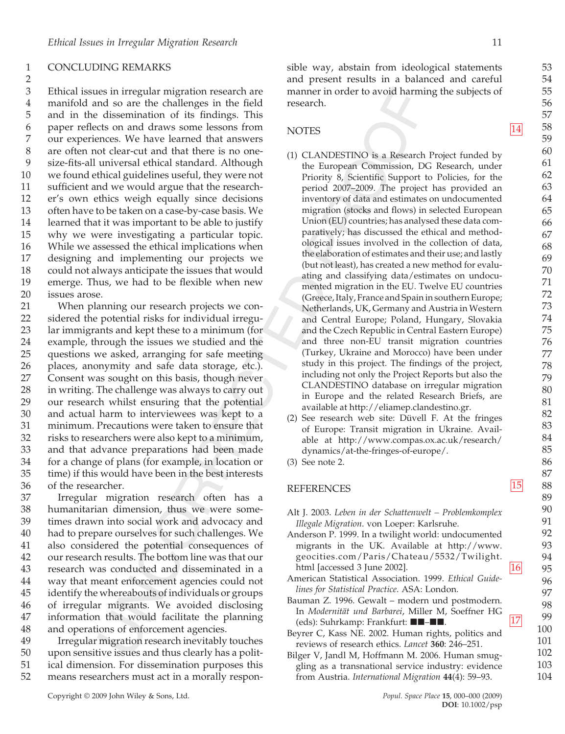16

17

14

#### CONCLUDING REMARKS

1 2

3 4 5 6 7 8 9 10 11 12 13 14 15 16 17 18 19 20 Ethical issues in irregular migration research are manifold and so are the challenges in the field and in the dissemination of its findings. This paper reflects on and draws some lessons from our experiences. We have learned that answers are often not clear-cut and that there is no onesize-fits-all universal ethical standard. Although we found ethical guidelines useful, they were not sufficient and we would argue that the researcher's own ethics weigh equally since decisions often have to be taken on a case-by-case basis. We learned that it was important to be able to justify why we were investigating a particular topic. While we assessed the ethical implications when designing and implementing our projects we could not always anticipate the issues that would emerge. Thus, we had to be flexible when new issues arose.

21 22 23 24 25 26 27 28 29 30 31 32 33 34 35 36 When planning our research projects we considered the potential risks for individual irregular immigrants and kept these to a minimum (for example, through the issues we studied and the questions we asked, arranging for safe meeting places, anonymity and safe data storage, etc.). Consent was sought on this basis, though never in writing. The challenge was always to carry out our research whilst ensuring that the potential and actual harm to interviewees was kept to a minimum. Precautions were taken to ensure that risks to researchers were also kept to a minimum, and that advance preparations had been made for a change of plans (for example, in location or time) if this would have been in the best interests of the researcher.

37 38 39 40 41 42 43 44 45 46 47 48 Irregular migration research often has a humanitarian dimension, thus we were sometimes drawn into social work and advocacy and had to prepare ourselves for such challenges. We also considered the potential consequences of our research results. The bottom line was that our research was conducted and disseminated in a way that meant enforcement agencies could not identify the whereabouts of individuals or groups of irregular migrants. We avoided disclosing information that would facilitate the planning and operations of enforcement agencies.

49 50 51 52 Irregular migration research inevitably touches upon sensitive issues and thus clearly has a political dimension. For dissemination purposes this means researchers must act in a morally responsible way, abstain from ideological statements and present results in a balanced and careful manner in order to avoid harming the subjects of research.

#### **NOTES**

- (1) CLANDESTINO is a Research Project funded by the European Commission, DG Research, under Priority 8, Scientific Support to Policies, for the period 2007–2009. The project has provided an inventory of data and estimates on undocumented migration (stocks and flows) in selected European Union (EU) countries; has analysed these data comparatively; has discussed the ethical and methodological issues involved in the collection of data, the elaboration of estimates and their use; and lastly (but not least), has created a new method for evaluating and classifying data/estimates on undocumented migration in the EU. Twelve EU countries (Greece, Italy, France and Spain in southern Europe; Netherlands, UK, Germany and Austria in Western and Central Europe; Poland, Hungary, Slovakia and the Czech Republic in Central Eastern Europe) and three non-EU transit migration countries (Turkey, Ukraine and Morocco) have been under study in this project. The findings of the project, including not only the Project Reports but also the CLANDESTINO database on irregular migration in Europe and the related Research Briefs, are available at http://eliamep.clandestino.gr.
- (2) See research web site: Düvell F. At the fringes of Europe: Transit migration in Ukraine. Available at http://www.compas.ox.ac.uk/research/ dynamics/at-the-fringes-of-europe/.
- (3) See note 2.

#### REFERENCES

- Alt J. 2003. *Leben in der Schattenwelt Problemkomplex Illegale Migration*. von Loeper: Karlsruhe.
- Anderson P. 1999. In a twilight world: undocumented migrants in the UK. Available at http://www. geocities.com/Paris/Chateau/5532/Twilight. html [accessed 3 June 2002].
- American Statistical Association. 1999. *Ethical Guidelines for Statistical Practice*. ASA: London.
- Bauman Z. 1996. Gewalt modern und postmodern. In *Modernität und Barbarei*, Miller M, Soeffner HG (eds): Suhrkamp: Frankfurt: ■■-■■.
- Beyrer C, Kass NE. 2002. Human rights, politics and reviews of research ethics. *Lancet* **360**: 246–251.
- Bilger V, Jandl M, Hoffmann M. 2006. Human smuggling as a transnational service industry: evidence from Austria. *International Migration* **44**(4): 59–93.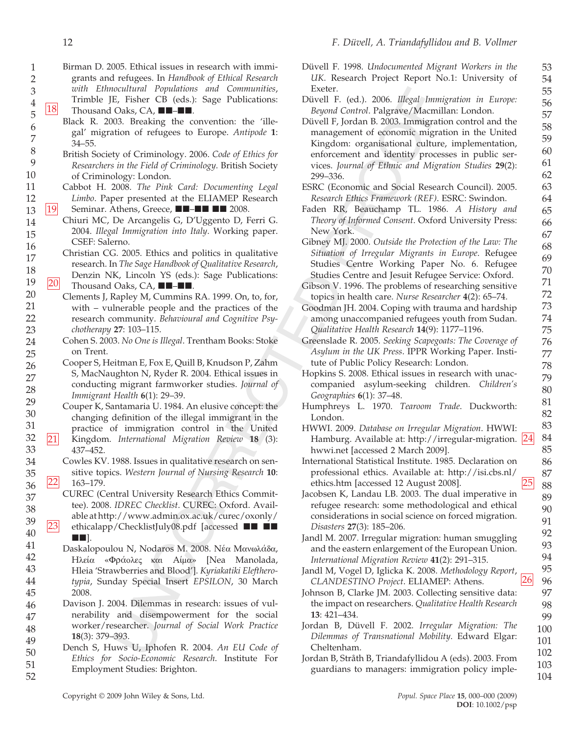- 1 2 3 4 5 6 7 8 9 10 11 12 13 14 15 16 17 18 19 20 21 22 23 24 25 26 27 28 29 30 31 32 Birman D. 2005. Ethical issues in research with immigrants and refugees. In *Handbook of Ethical Research with Ethnocultural Populations and Communities*, Trimble JE, Fisher CB (eds.): Sage Publications: Thousand Oaks, CA,  $\blacksquare$ - $\blacksquare$ . Black R. 2003. Breaking the convention: the 'illegal' migration of refugees to Europe. *Antipode* **1**: 34–55. British Society of Criminology. 2006. *Code of Ethics for Researchers in the Field of Criminology*. British Society of Criminology: London. Cabbot H. 2008. *The Pink Card: Documenting Legal Limbo*. Paper presented at the ELIAMEP Research Seminar. Athens, Greece,  $\blacksquare \blacksquare - \blacksquare \blacksquare \blacksquare$  2008. Chiuri MC, De Arcangelis G, D'Uggento D, Ferri G. 2004. *Illegal Immigration into Italy*. Working paper. CSEF: Salerno. Christian CG. 2005. Ethics and politics in qualitative research. In *The Sage Handbook of Qualitative Research*, Denzin NK, Lincoln YS (eds.): Sage Publications: Thousand Oaks, CA,  $\blacksquare$ – $\blacksquare$ . Clements J, Rapley M, Cummins RA. 1999. On, to, for, with – vulnerable people and the practices of the research community. *Behavioural and Cognitive Psychotherapy* **27**: 103–115. Cohen S. 2003. *No One is Illegal*. Trentham Books: Stoke on Trent. Cooper S, Heitman E, Fox E, Quill B, Knudson P, Zahm S, MacNaughton N, Ryder R. 2004. Ethical issues in conducting migrant farmworker studies. *Journal of Immigrant Health* **6**(1): 29–39. Couper K, Santamaria U. 1984. An elusive concept: the changing definition of the illegal immigrant in the practice of immigration control in the United 18 19 20
- 33 34 Kingdom. *International Migration Review* **18** (3): 437–452. 21
	- Cowles KV. 1988. Issues in qualitative research on sensitive topics. *Western Journal of Nursing Research* **10**: 163–179. 22
	- CUREC (Central University Research Ethics Committee). 2008. *IDREC Checklist*. CUREC: Oxford. Available at http://www.admin.ox.ac.uk/curec/oxonly/
	- ethicalapp/ChecklistJuly08.pdf [accessed  $\blacksquare$   $\blacksquare$ jj]. 23
- 41 42 43 44 45 Daskalopoulou N, Nodaros Μ. 2008. Νέα Μανωλάδα, Hλεία «Φράολες και Αίμα» [Nea Manolada, Hleia 'Strawberries and Blood']. *Kyriakatiki Eleftherotypia*, Sunday Special Insert *EPSILON*, 30 March 2008.
- 46 47 48 49 Davison J. 2004. Dilemmas in research: issues of vulnerability and disempowerment for the social worker/researcher. *Journal of Social Work Practice* **18**(3): 379–393.
- 50 51 52 Dench S, Huws U, Iphofen R. 2004. *An EU Code of Ethics for Socio-Economic Research*. Institute For Employment Studies: Brighton.
- Düvell F. 1998. *Undocumented Migrant Workers in the UK*. Research Project Report No.1: University of Exeter.
- Düvell F. (ed.). 2006. *Illegal Immigration in Europe: Beyond Control*. Palgrave/Macmillan: London.
- Düvell F, Jordan B. 2003. Immigration control and the management of economic migration in the United Kingdom: organisational culture, implementation, enforcement and identity processes in public services. *Journal of Ethnic and Migration Studies* **29**(2): 299–336.
- ESRC (Economic and Social Research Council). 2005. *Research Ethics Framework (REF)*. ESRC: Swindon.
- Faden RR, Beauchamp TL. 1986. *A History and Theory of Informed Consent*. Oxford University Press: New York.
- Gibney MJ. 2000. *Outside the Protection of the Law: The Situation of Irregular Migrants in Europe*. Refugee Studies Centre Working Paper No. 6. Refugee Studies Centre and Jesuit Refugee Service: Oxford.
- Gibson V. 1996. The problems of researching sensitive topics in health care. *Nurse Researcher* **4**(2): 65–74.
- Goodman JH. 2004. Coping with trauma and hardship among unaccompanied refugees youth from Sudan. *Qualitative Health Research* **14**(9): 1177–1196.
- Greenslade R. 2005. *Seeking Scapegoats: The Coverage of Asylum in the UK Press*. IPPR Working Paper. Institute of Public Policy Research: London.
- Hopkins S. 2008. Ethical issues in research with unaccompanied asylum-seeking children. *Children's Geographies* **6**(1): 37–48.
- Humphreys L. 1970. *Tearoom Trade*. Duckworth: London.
- HWWI. 2009. *Database on Irregular Migration*. HWWI: Hamburg. Available at: http://irregular-migration. 24 hwwi.net [accessed 2 March 2009].
- International Statistical Institute. 1985. Declaration on professional ethics. Available at: http://isi.cbs.nl/ ethics.htm [accessed 12 August 2008]. 25
- Jacobsen K, Landau LB. 2003. The dual imperative in refugee research: some methodological and ethical considerations in social science on forced migration. *Disasters* **27**(3): 185–206.
- Jandl M. 2007. Irregular migration: human smuggling and the eastern enlargement of the European Union. *International Migration Review* **41**(2): 291–315.
- Jandl M, Vogel D, Iglicka K. 2008. *Methodology Report*, *CLANDESTINO Project*. ELIAMEP: Athens. 26
- Johnson B, Clarke JM. 2003. Collecting sensitive data: the impact on researchers. *Qualitative Health Research* **13**: 421–434.
- Jordan B, Düvell F. 2002. *Irregular Migration: The Dilemmas of Transnational Mobility*. Edward Elgar: Cheltenham.
- Jordan B, Stråth B, Triandafyllidou A (eds). 2003. From guardians to managers: immigration policy imple-

104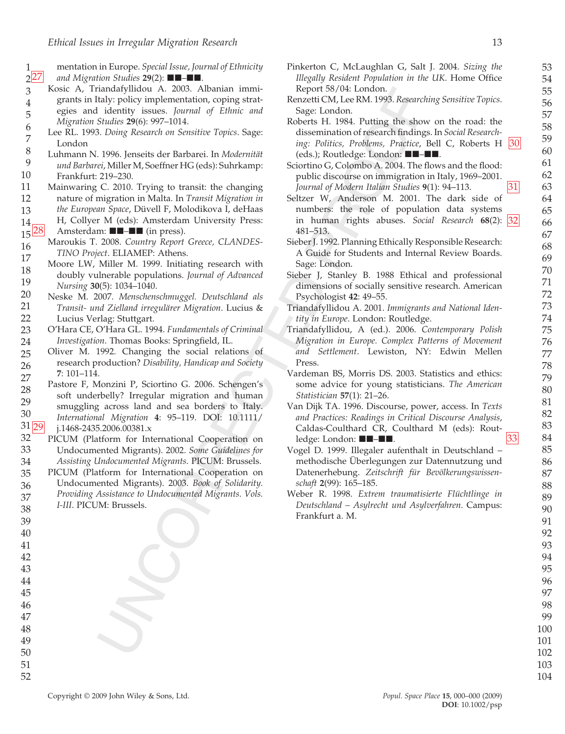| 1<br>$2^{27}$    | mentation in Europe. Special Issue, Journal of Ethnicity<br>and Migration Studies $29(2)$ : $\blacksquare \blacksquare - \blacksquare \blacksquare$ . | Pinkerton<br>Illegally |
|------------------|-------------------------------------------------------------------------------------------------------------------------------------------------------|------------------------|
| 3                | Kosic A, Triandafyllidou A. 2003. Albanian immi-                                                                                                      | Report 5               |
| 4                | grants in Italy: policy implementation, coping strat-                                                                                                 | Renzetti Cl            |
| 5                | egies and identity issues. Journal of Ethnic and                                                                                                      | Sage: Lo               |
|                  | Migration Studies 29(6): 997-1014.                                                                                                                    | Roberts H              |
| 6                | Lee RL. 1993. Doing Research on Sensitive Topics. Sage:                                                                                               | dissemir               |
| 7                | London                                                                                                                                                | ing: Poli              |
| 8                | Luhmann N. 1996. Jenseits der Barbarei. In Modernität                                                                                                 | (eds.); R              |
| 9                | und Barbarei, Miller M, Soeffner HG (eds): Suhrkamp:                                                                                                  | Sciortino C            |
| $\boldsymbol{0}$ | Frankfurt: 219-230.                                                                                                                                   | public di              |
| 1                | Mainwaring C. 2010. Trying to transit: the changing                                                                                                   | Journal o              |
| $\overline{c}$   | nature of migration in Malta. In Transit Migration in                                                                                                 | Seltzer W              |
| 3                | the European Space, Düvell F, Molodikova I, deHaas                                                                                                    | numbers                |
| $\overline{4}$   | H, Collyer M (eds): Amsterdam University Press:                                                                                                       | in hum                 |
| $5^{28}$         | Amsterdam: $\blacksquare$ = $\blacksquare$ (in press).                                                                                                | 481-513.               |
| 6                | Maroukis T. 2008. Country Report Greece, CLANDES-                                                                                                     | Sieber J. 19           |
| 7                | TINO Project. ELIAMEP: Athens.                                                                                                                        | A Guide                |
| 8                | Moore LW, Miller M. 1999. Initiating research with                                                                                                    | Sage: Lo               |
| 9                | doubly vulnerable populations. Journal of Advanced                                                                                                    | Sieber J, 9            |
|                  | Nursing 30(5): 1034-1040.                                                                                                                             | dimensio               |
| $\boldsymbol{0}$ | Neske M. 2007. Menschenschmuggel. Deutschland als                                                                                                     | Psycholo               |
| 1                | Transit- und Zielland irregulärer Migration. Lucius &                                                                                                 | Triandafyl             |
| $\overline{c}$   | Lucius Verlag: Stuttgart.                                                                                                                             | tity in Et             |
| 3                | O'Hara CE, O'Hara GL. 1994. Fundamentals of Criminal                                                                                                  | Triandafyl             |
| 4                | Investigation. Thomas Books: Springfield, IL.                                                                                                         | <b>Migratio</b>        |
| 5                | Oliver M. 1992. Changing the social relations of                                                                                                      | and Set                |
| 6                | research production? Disability, Handicap and Society                                                                                                 | Press.                 |
| 7                | 7: 101–114.<br>Pastore F, Monzini P, Sciortino G. 2006. Schengen's                                                                                    | Vardeman<br>some ad    |
| 8                | soft underbelly? Irregular migration and human                                                                                                        | Statistici             |
| 9                | smuggling across land and sea borders to Italy.                                                                                                       | Van Dijk T             |
| $\boldsymbol{0}$ | International Migration 4: 95-119. DOI: 10.1111/                                                                                                      | and Prac               |
| $1\overline{29}$ | j.1468-2435.2006.00381.x                                                                                                                              | Caldas-C               |
| $\overline{c}$   | PICUM (Platform for International Cooperation on                                                                                                      | ledge: Lo              |
| 3                | Undocumented Migrants). 2002. Some Guidelines for                                                                                                     | Vogel D. 1             |
| 4                | Assisting Undocumented Migrants. PICUM: Brussels.                                                                                                     | methodi                |
| 5                | PICUM (Platform for International Cooperation on                                                                                                      | Datenerl               |
| 6                | Undocumented Migrants). 2003. Book of Solidarity.                                                                                                     | schaft 2(9             |
| 7                | Providing Assistance to Undocumented Migrants. Vols.                                                                                                  | Weber R.               |
| 8                | I-III. PICUM: Brussels.                                                                                                                               | Deutschl               |
| 9                |                                                                                                                                                       | Frankfur               |
|                  |                                                                                                                                                       |                        |
| 0                |                                                                                                                                                       |                        |
| 1                |                                                                                                                                                       |                        |
| $\overline{c}$   |                                                                                                                                                       |                        |
| 3                |                                                                                                                                                       |                        |
| $\overline{4}$   |                                                                                                                                                       |                        |
| 5                |                                                                                                                                                       |                        |
| 6                |                                                                                                                                                       |                        |
| 7                |                                                                                                                                                       |                        |
| 8                |                                                                                                                                                       |                        |
| 9                |                                                                                                                                                       |                        |
| 0                |                                                                                                                                                       |                        |
| 1                |                                                                                                                                                       |                        |
| 2                |                                                                                                                                                       |                        |
|                  |                                                                                                                                                       |                        |
|                  | Copyright © 2009 John Wiley & Sons, Ltd.                                                                                                              |                        |
|                  |                                                                                                                                                       |                        |

- C, McLaughlan G, Salt J. 2004. *Sizing the Illegally Resident Population in the UK*. Home Office 58/04: London.
- Renzetti CM, Lee RM. 1993. *Researching Sensitive Topics*. ondon.
- H. 1984. Putting the show on the road: the ination of research findings. In *Social Researching: Politics, Problems, Practice*, Bell C, Roberts H 30 Routledge: London: ■■-■■.
- G, Colombo A. 2004. The flows and the flood: discourse on immigration in Italy, 1969–2001. *of Modern Italian Studies* **9**(1): 94–113. 31
- V, Anderson M. 2001. The dark side of rs: the role of population data systems in human rights abuses. *Social Research* **68**(2): 32
- 992. Planning Ethically Responsible Research: le for Students and Internal Review Boards. ondon.
- Stanley B. 1988 Ethical and professional ions of socially sensitive research. American Psychologist **42**: 49–55.
- Ilidou A. 2001. Immigrants and National Iden*tity in Europe*. London: Routledge.
- Ilidou, A (ed.). 2006. Contemporary Polish *Migration in Europe. Complex Patterns of Movement and Settlement*. Lewiston, NY: Edwin Mellen
- n BS, Morris DS. 2003. Statistics and ethics: dvice for young statisticians. The American *Statistician* **57**(1): 21–26.
- TA. 1996. Discourse, power, access. In *Texts and Practices: Readings in Critical Discourse Analysis*, Coulthard CR, Coulthard M (eds): Rout- $L$ ondon:  $\blacksquare$  $\blacksquare$ - $\blacksquare$ .
- 1999. Illegaler aufenthalt in Deutschland lische Überlegungen zur Datennutzung und rhebung. Zeitschrift für Bevölkerungswissen*schaft* **2**(99): 165–185.
- 1998. Extrem traumatisierte Flüchtlinge in *Deutschland – Asylrecht und Asylverfahren*. Campus: irt a. M.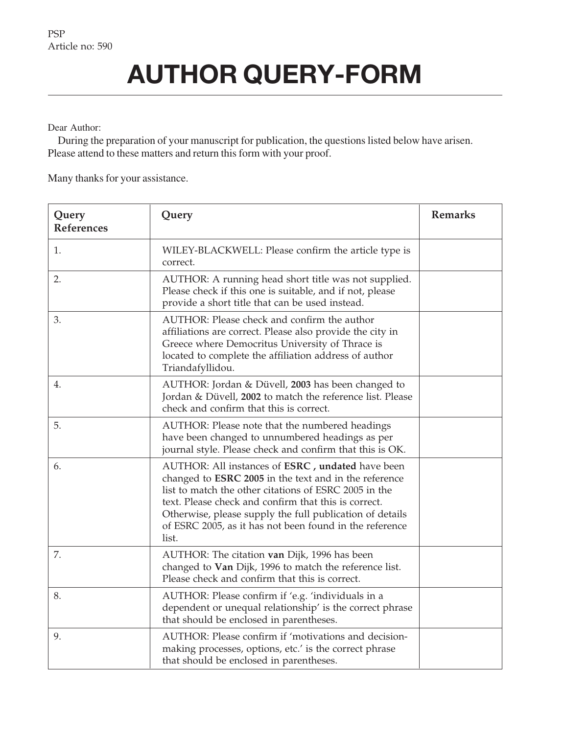# **AUTHOR QUERY‑FORM**

Dear Author:

During the preparation of your manuscript for publication, the questions listed below have arisen. Please attend to these matters and return this form with your proof.

Many thanks for your assistance.

| Query<br>References | Query                                                                                                                                                                                                                                                                                                                                                              | <b>Remarks</b> |
|---------------------|--------------------------------------------------------------------------------------------------------------------------------------------------------------------------------------------------------------------------------------------------------------------------------------------------------------------------------------------------------------------|----------------|
| 1.                  | WILEY-BLACKWELL: Please confirm the article type is<br>correct.                                                                                                                                                                                                                                                                                                    |                |
| 2.                  | AUTHOR: A running head short title was not supplied.<br>Please check if this one is suitable, and if not, please<br>provide a short title that can be used instead.                                                                                                                                                                                                |                |
| 3.                  | AUTHOR: Please check and confirm the author<br>affiliations are correct. Please also provide the city in<br>Greece where Democritus University of Thrace is<br>located to complete the affiliation address of author<br>Triandafyllidou.                                                                                                                           |                |
| 4.                  | AUTHOR: Jordan & Düvell, 2003 has been changed to<br>Jordan & Düvell, 2002 to match the reference list. Please<br>check and confirm that this is correct.                                                                                                                                                                                                          |                |
| 5.                  | AUTHOR: Please note that the numbered headings<br>have been changed to unnumbered headings as per<br>journal style. Please check and confirm that this is OK.                                                                                                                                                                                                      |                |
| 6.                  | AUTHOR: All instances of <b>ESRC</b> , undated have been<br>changed to ESRC 2005 in the text and in the reference<br>list to match the other citations of ESRC 2005 in the<br>text. Please check and confirm that this is correct.<br>Otherwise, please supply the full publication of details<br>of ESRC 2005, as it has not been found in the reference<br>list. |                |
| 7.                  | AUTHOR: The citation van Dijk, 1996 has been<br>changed to Van Dijk, 1996 to match the reference list.<br>Please check and confirm that this is correct.                                                                                                                                                                                                           |                |
| 8.                  | AUTHOR: Please confirm if 'e.g. 'individuals in a<br>dependent or unequal relationship' is the correct phrase<br>that should be enclosed in parentheses.                                                                                                                                                                                                           |                |
| 9.                  | AUTHOR: Please confirm if 'motivations and decision-<br>making processes, options, etc.' is the correct phrase<br>that should be enclosed in parentheses.                                                                                                                                                                                                          |                |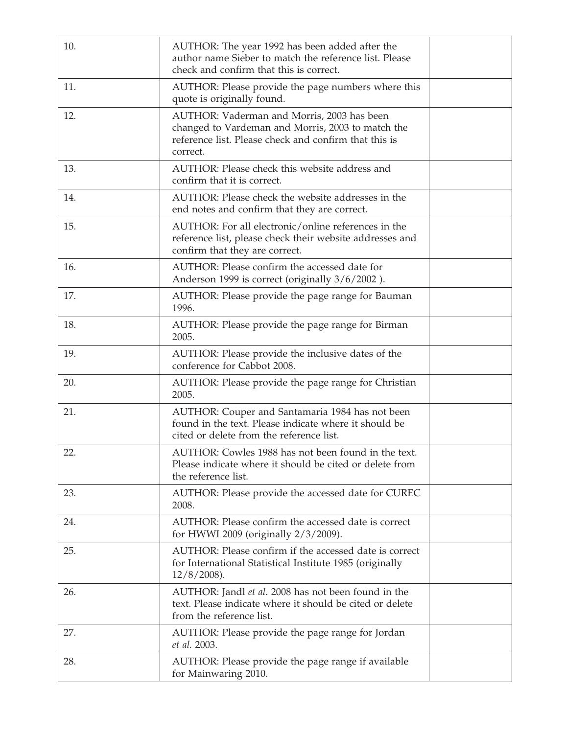| 10. | AUTHOR: The year 1992 has been added after the<br>author name Sieber to match the reference list. Please<br>check and confirm that this is correct.                  |  |
|-----|----------------------------------------------------------------------------------------------------------------------------------------------------------------------|--|
| 11. | AUTHOR: Please provide the page numbers where this<br>quote is originally found.                                                                                     |  |
| 12. | AUTHOR: Vaderman and Morris, 2003 has been<br>changed to Vardeman and Morris, 2003 to match the<br>reference list. Please check and confirm that this is<br>correct. |  |
| 13. | AUTHOR: Please check this website address and<br>confirm that it is correct.                                                                                         |  |
| 14. | AUTHOR: Please check the website addresses in the<br>end notes and confirm that they are correct.                                                                    |  |
| 15. | AUTHOR: For all electronic/online references in the<br>reference list, please check their website addresses and<br>confirm that they are correct.                    |  |
| 16. | AUTHOR: Please confirm the accessed date for<br>Anderson 1999 is correct (originally 3/6/2002).                                                                      |  |
| 17. | AUTHOR: Please provide the page range for Bauman<br>1996.                                                                                                            |  |
| 18. | AUTHOR: Please provide the page range for Birman<br>2005.                                                                                                            |  |
| 19. | AUTHOR: Please provide the inclusive dates of the<br>conference for Cabbot 2008.                                                                                     |  |
| 20. | AUTHOR: Please provide the page range for Christian<br>2005.                                                                                                         |  |
| 21. | AUTHOR: Couper and Santamaria 1984 has not been<br>found in the text. Please indicate where it should be<br>cited or delete from the reference list.                 |  |
| 22. | AUTHOR: Cowles 1988 has not been found in the text.<br>Please indicate where it should be cited or delete from<br>the reference list.                                |  |
| 23. | AUTHOR: Please provide the accessed date for CUREC<br>2008.                                                                                                          |  |
| 24. | AUTHOR: Please confirm the accessed date is correct<br>for HWWI 2009 (originally 2/3/2009).                                                                          |  |
| 25. | AUTHOR: Please confirm if the accessed date is correct<br>for International Statistical Institute 1985 (originally<br>$12/8/2008$ ).                                 |  |
| 26. | AUTHOR: Jandl et al. 2008 has not been found in the<br>text. Please indicate where it should be cited or delete<br>from the reference list.                          |  |
| 27. | AUTHOR: Please provide the page range for Jordan<br>et al. 2003.                                                                                                     |  |
| 28. | AUTHOR: Please provide the page range if available<br>for Mainwaring 2010.                                                                                           |  |